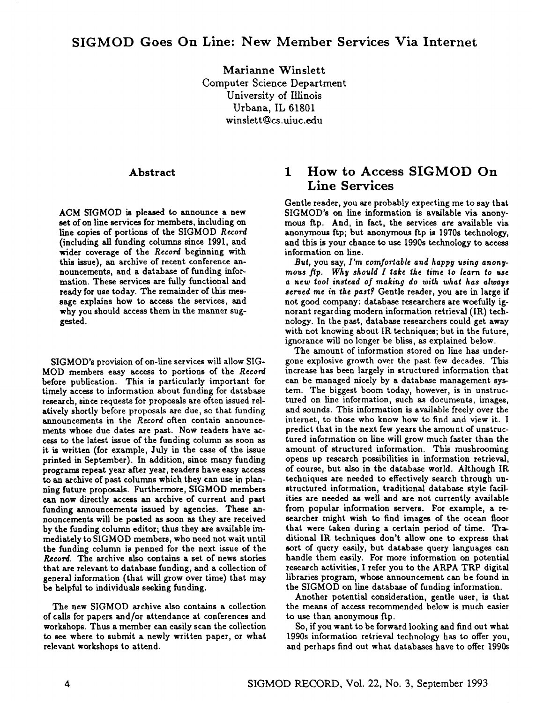## **SIGMOD Goes On Line: New Member Services Via Internet**

Marianne Winslett Computer Science Department University of Illinois Urbana, IL 61801 winslett@cs.uiuc.edu

#### Abstract

ACM SIGMOD is pleased to announce a new set of on line services for members, including on line copies of portions of the SIGMOD Record (including all funding columns since 1991, and wider coverage of the *Record* beginning with this issue), an archive of recent conference announcements, and a database of funding information. These services are fully functional and ready for use today. The remainder of this message explains how to access the services, and why you should access them in the manner suggested.

SIGMOD's provision of on-line services will allow SIG-MOD members easy access to portions of the *Record*  before publication. This is particularly important for timely access to information about funding for database research, since requests for proposals are often issued relatively shortly before proposals are due, so that funding announcements in the *Record* often contain announcements whose due dates are past. Now readers have access to the latest issue of the funding column as soon as it is written (for example, July in the case of the issue printed in September). In addition, since many funding programs repeat year after year, readers have easy access to an archive of past columns which they can use in planning future proposals. Furthermore, SIGMOD members can now directly access an archive of current and past funding announcements issued by agencies. These announcements will be posted as soon as they are received by the funding column editor; thus they are available immediately to SIGMOD members, who need not wait until the funding column is penned for the next issue of the *Record.* The archive also contains a set of news stories that are relevant to database funding, and a collection of general information (that will grow over time) that may be helpful to individuals seeking funding.

The new SIGMOD archive also contains a collection of calls for papers and/or attendance at conferences and workshops. Thus a member can easily scan the collection to see where to submit a newly written paper, or what relevant workshops to attend.

### **1 How to Access SIGMOD On Line Services**

Gentle reader, you are probably expecting me to say that SIGMOD's on line information is available via anonymous Rp. And, in fact, the services are available via anonymous ftp; but anonymous ftp is 1970s technology, and this is your chance to use 1990s technology to access information on line.

*But,* you say, *I'm comfortable and happy using anonymous tip. Why should I fake ~he* lime *to learn to ese a new ~ool instead of making do with what has always served me in the past?* Gentle reader, you are in large if not good company: database researchers are woefully ignorant regarding modern information retrieval (IR) technology. In the past, database researchers could get away with not knowing about IR techniques; but in the future, ignorance will no longer be bliss, as explained below.

The amount of information stored on line has undergone explosive growth over the past few decades. This increase has been largely in structured information that can be managed nicely by a database management system. The biggest boom today, however, is in unstructured on line information, such as documents, images, and sounds. This information is available freely over the internet, to those who know how to find and view it. I predict that in the next few years the amount of unstructured information on line will grow much faster than the amount of structured information. This mushrooming opens up research possibilities in information retrieval, of course, but also in the database world. Although IR techniques are needed to effectively search through unstructured information, traditional database style facilities are needed as well and are not currently available from popular information servers. For example, a researcher might wish to find images of the ocean floor that were taken during a certain period of time. Traditional IR techniques don't allow one to express that sort of query easily, but database query languages can handle them easily. For more information on potential research activities, I refer you to the ARPA TRP digital libraries program, whose announcement can be found in the SIGMOD on line database of funding information.

Another potential consideration, gentle user, is that the means of access recommended below is much easier to use than anonymous ftp.

So, if you want to be forward looking and find out what 1990s information retrieval technology has to offer you, and perhaps find out what databases have to offer 1990s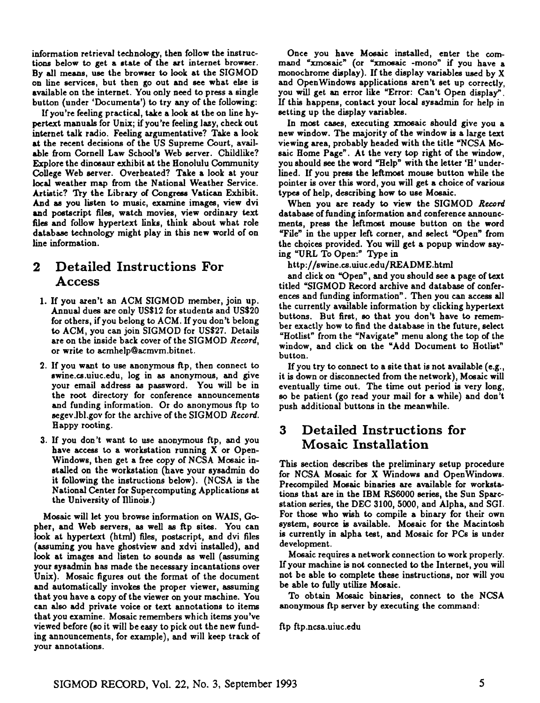information retrieval technology, then follow the instructions below to get a state of the art internet browser. By all means, use the browser to look at the SIGMOD on line services, but then go out and see what else is available on the internet. You only need to press a single button (under 'Documents') to try any of the following:

If you're feeling practical, take a look at the on line hypertext manuals for Unix; if you're feeling lazy, check out internet talk radio. Feeling argumentative? Take a look at the recent decisions of the US Supreme Court, available from Cornell Law School's Web server. Childlike? Explore the dinosaur exhibit at the Honolulu Community College Web server. Overheated? Take a look at your local weather map from the National Weather Service. Artistic? Try the Library of Congress Vatican Exhibit. And as you listen to music, examine images, view dvi and postscript files, watch movies, view ordinary text files and follow hypertext links, think about what role database technology might play in this new world of on line information.

## **2 Detailed Instructions For Access**

- 1. If you aren't an ACM SIGMOD member, join up. Annual dues are only US\$12 for students and US\$20 for others, if you belong to ACM. If you don't belong to ACM, you can join SIGMOD for US\$27. Details are on the inside back cover of the SIGMOD *Record,*  or write to aernhelp@acmvm.bitnet.
- 2. If you want to use anonymous ftp, then connect to swine.cs.uiuc.edu, log in as anonymous, and give your email address as password. You will be in the root directory for conference announcements and funding information. Or do anonymous ftp to segev.lbl.gov for the archive of the SIGMOD *Record.*  Happy rooting.
- 3. If you don't want to use anonymous ftp, and you have access to a workstation running X or Open-Windows, then get a free copy of NCSA Mosaic installed on the workstation (have your sysadmin do it following the instructions below). (NCSA is the National Center for Supercomputing Applications at the University of Illinois.)

Mosaic will let you browse information on WAIS, Gopher, and Web servers, as well as ftp sites. You can look at hypertext (html) files, postscript, and dvi files (assuming you have ghostview and xdvi installed), and look at images and listen to sounds as well (assuming your sysadmin has made the necessary incantations over Unix). Mosaic figures out the format of the document and automatically invokes the proper viewer, assuming that you have a copy of the viewer on your machine. You can also add private voice or text annotations to items that you examine. Mosaic remembers which items you've viewed before (so it will be easy to pick out the new funding announcements, for example), and will keep track of your annotations.

Once you have Mosaic installed, enter the command "xrnosaic" (or "xrnosaic -mono" if you have **<sup>a</sup>** monochrome display). If the display variables used by X and OpenWindows applications aren't set up correctly, you will get an error like "Error: Can't Open display". If this happens, contact your local sysadmin for help in setting up the display variables.

In most cases, executing xmosaic should give you a new window. The majority of the window is a large text viewing area, probably headed with the title "NCSA Mosaic Home Page". At the very top right of the window, you should see the word "Help" with the letter 'H' underlined. If you press the leftmost mouse button while the pointer is over this word, you will get a choice of various types of help, describing how to use Mosaic.

When you are ready to view the SIGMOD Record database of funding information and conference announcmeats, press the leftmost mouse button on the word 'Tile" in the upper left corner, and select "Open" from the choices provided. You will get a popup window saying "URL To Open:" Type in

http://swine.cs.uiuc.edu/README.html

and click on "Open", and you should see a page of text titled "SIGMOD Record archive and database of conferences and funding information". Then you can access all the currently available information by clicking hypertext buttons. But first, so that you don't have to remember exactly how to find the database in the future, select "Hotlist" from the "Navigate" menu along the top of the window, and click on the "Add Document to Hotlist" button.

If you try to connect to a site that is not available (e.g., it is down or disconnected from the network), Mosaic will eventually time out. The time out period is very long, so be patient (go read your mail for a while) and don't push additional buttons in the meanwhile.

# **3 Detailed Instructions for Mosaic Installation**

This section describes the preliminary setup procedure for NCSA Mosaic for X Windows and OpenWindows. Precompiled Mosaic binaries are available for workstations that are in the IBM RS6000 series, the Sun Sparestation series, the DEC 3100, 5000, and Alpha, and SGI. For those who wish to compile a binary for their own system, source is available. Mosaic for the Macintosh is currently in alpha test, and Mosaic for PCs is under development.

Mosaic requires a network connection to work properly. If your machine is not connected to the Internet, you will not be able to complete these instructions, nor will you be able to fully utilize Mosaic.

To obtain Mosaic binaries, connect to the NCSA anonymous ftp server by executing the command:

ftp ftp.ncsa.uiuc.edu